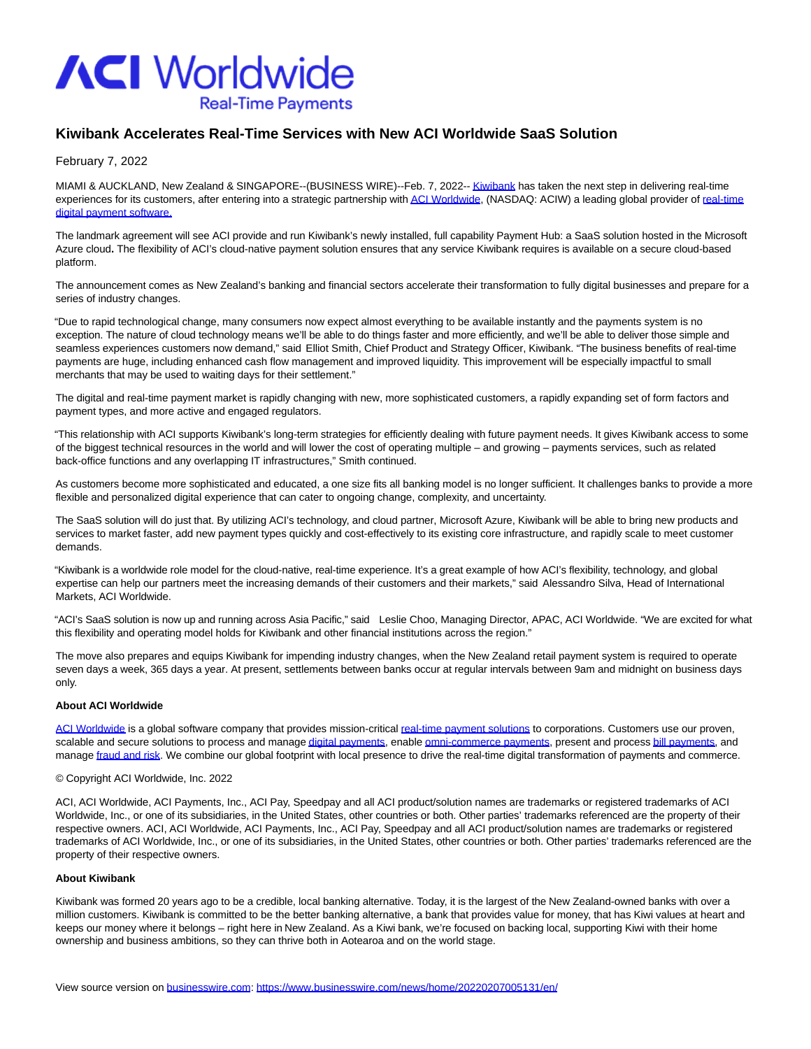

# **Kiwibank Accelerates Real-Time Services with New ACI Worldwide SaaS Solution**

### February 7, 2022

MIAMI & AUCKLAND, New Zealand & SINGAPORE--(BUSINESS WIRE)--Feb. 7, 2022-[- Kiwibank h](https://cts.businesswire.com/ct/CT?id=smartlink&url=https%3A%2F%2Fwww.kiwibank.co.nz%2Fpersonal-banking%2F&esheet=52574579&newsitemid=20220207005131&lan=en-US&anchor=Kiwibank&index=1&md5=52cd7e9fa02f8721ae4a8bc75c5a4aa6)as taken the next step in delivering real-time experiences for its customers, after entering into a strategic partnership wit[h ACI Worldwide,](https://cts.businesswire.com/ct/CT?id=smartlink&url=http%3A%2F%2Fwww.acworldwide.com%2F&esheet=52574579&newsitemid=20220207005131&lan=en-US&anchor=ACI+Worldwide&index=2&md5=7933a74acb80b67603fd696f523b13d0) (NASDAQ: ACIW) a leading global provider of [real-time](https://cts.businesswire.com/ct/CT?id=smartlink&url=https%3A%2F%2Fwww.aciworldwide.com%2Fabout-aci&esheet=52574579&newsitemid=20220207005131&lan=en-US&anchor=real-time+digital+payment+software.&index=3&md5=7d964fbe9de01dd045a40a38262435ec) digital payment software.

The landmark agreement will see ACI provide and run Kiwibank's newly installed, full capability Payment Hub: a SaaS solution hosted in the Microsoft Azure cloud**.** The flexibility of ACI's cloud-native payment solution ensures that any service Kiwibank requires is available on a secure cloud-based platform.

The announcement comes as New Zealand's banking and financial sectors accelerate their transformation to fully digital businesses and prepare for a series of industry changes.

"Due to rapid technological change, many consumers now expect almost everything to be available instantly and the payments system is no exception. The nature of cloud technology means we'll be able to do things faster and more efficiently, and we'll be able to deliver those simple and seamless experiences customers now demand," said Elliot Smith, Chief Product and Strategy Officer, Kiwibank. "The business benefits of real-time payments are huge, including enhanced cash flow management and improved liquidity. This improvement will be especially impactful to small merchants that may be used to waiting days for their settlement."

The digital and real-time payment market is rapidly changing with new, more sophisticated customers, a rapidly expanding set of form factors and payment types, and more active and engaged regulators.

"This relationship with ACI supports Kiwibank's long-term strategies for efficiently dealing with future payment needs. It gives Kiwibank access to some of the biggest technical resources in the world and will lower the cost of operating multiple – and growing – payments services, such as related back-office functions and any overlapping IT infrastructures," Smith continued.

As customers become more sophisticated and educated, a one size fits all banking model is no longer sufficient. It challenges banks to provide a more flexible and personalized digital experience that can cater to ongoing change, complexity, and uncertainty.

The SaaS solution will do just that. By utilizing ACI's technology, and cloud partner, Microsoft Azure, Kiwibank will be able to bring new products and services to market faster, add new payment types quickly and cost-effectively to its existing core infrastructure, and rapidly scale to meet customer demands.

"Kiwibank is a worldwide role model for the cloud-native, real-time experience. It's a great example of how ACI's flexibility, technology, and global expertise can help our partners meet the increasing demands of their customers and their markets," said Alessandro Silva, Head of International Markets, ACI Worldwide.

"ACI's SaaS solution is now up and running across Asia Pacific," said Leslie Choo, Managing Director, APAC, ACI Worldwide. "We are excited for what this flexibility and operating model holds for Kiwibank and other financial institutions across the region."

The move also prepares and equips Kiwibank for impending industry changes, when the New Zealand retail payment system is required to operate seven days a week, 365 days a year. At present, settlements between banks occur at regular intervals between 9am and midnight on business days only.

### **About ACI Worldwide**

[ACI Worldwide i](https://cts.businesswire.com/ct/CT?id=smartlink&url=https%3A%2F%2Fwww.aciworldwide.com%2F%3Futm_source%3Dpress-release%26utm_medium%3Dpress-release%26utm_campaign%3D2021-press-release%26utm_content%3Dboilerplate&esheet=52574579&newsitemid=20220207005131&lan=en-US&anchor=ACI+Worldwide&index=4&md5=0e0fbeaac9b833ff725c57c4c048d6f3)s a global software company that provides mission-critical [real-time payment solutions t](https://cts.businesswire.com/ct/CT?id=smartlink&url=https%3A%2F%2Fwww.aciworldwide.com%2Fabout-aci%2F%3Futm_source%3Dpress-release%26utm_medium%3Dpress-release%26utm_campaign%3D2021-press-release%26utm_content%3Dboilerplate&esheet=52574579&newsitemid=20220207005131&lan=en-US&anchor=real-time+payment+solutions&index=5&md5=b6d0739eb0bab6912883f1cf9a4cb0a6)o corporations. Customers use our proven, scalable and secure solutions to process and manag[e digital payments,](https://cts.businesswire.com/ct/CT?id=smartlink&url=https%3A%2F%2Fwww.aciworldwide.com%2Fsolutions%2Faci-enterprise-payments-platform%2F%3Futm_source%3Dpress-release%26utm_medium%3Dpress-release%26utm_campaign%3D2021-press-release%26utm_content%3Dboilerplate&esheet=52574579&newsitemid=20220207005131&lan=en-US&anchor=digital+payments&index=6&md5=7c101393edbbf6567452cb87689cc71f) enabl[e omni-commerce payments,](https://cts.businesswire.com/ct/CT?id=smartlink&url=https%3A%2F%2Fwww.aciworldwide.com%2Fsolutions%2Faci-omni-commerce%2F%3Futm_source%3Dpress-release%26utm_medium%3Dpress-release%26utm_campaign%3D2021-press-release%26utm_content%3Dboilerplate&esheet=52574579&newsitemid=20220207005131&lan=en-US&anchor=omni-commerce+payments&index=7&md5=462e1f80fe43b65b9a6129627bf0a363) present and proces[s bill payments,](https://cts.businesswire.com/ct/CT?id=smartlink&url=https%3A%2F%2Fwww.aciworldwide.com%2Fsolutions%2Faci-speedpay%2F%3Futm_source%3Dpress-release%26utm_medium%3Dpress-release%26utm_campaign%3D2021-press-release%26utm_content%3Dboilerplate&esheet=52574579&newsitemid=20220207005131&lan=en-US&anchor=bill+payments&index=8&md5=83be3edca77473601a8d7733dd2041ed) and manage [fraud and risk.](https://cts.businesswire.com/ct/CT?id=smartlink&url=https%3A%2F%2Fwww.aciworldwide.com%2Fsolutions%2Faci-fraud-management-banking%2F%3Futm_source%3Dpress-release%26utm_medium%3Dpress-release%26utm_campaign%3D2021-press-release%26utm_content%3Dboilerplate&esheet=52574579&newsitemid=20220207005131&lan=en-US&anchor=fraud+and+risk&index=9&md5=c5f84d530ecf5003bf2fe0e9d9fcf701) We combine our global footprint with local presence to drive the real-time digital transformation of payments and commerce.

#### © Copyright ACI Worldwide, Inc. 2022

ACI, ACI Worldwide, ACI Payments, Inc., ACI Pay, Speedpay and all ACI product/solution names are trademarks or registered trademarks of ACI Worldwide, Inc., or one of its subsidiaries, in the United States, other countries or both. Other parties' trademarks referenced are the property of their respective owners. ACI, ACI Worldwide, ACI Payments, Inc., ACI Pay, Speedpay and all ACI product/solution names are trademarks or registered trademarks of ACI Worldwide, Inc., or one of its subsidiaries, in the United States, other countries or both. Other parties' trademarks referenced are the property of their respective owners.

#### **About Kiwibank**

Kiwibank was formed 20 years ago to be a credible, local banking alternative. Today, it is the largest of the New Zealand-owned banks with over a million customers. Kiwibank is committed to be the better banking alternative, a bank that provides value for money, that has Kiwi values at heart and keeps our money where it belongs – right here in New Zealand. As a Kiwi bank, we're focused on backing local, supporting Kiwi with their home ownership and business ambitions, so they can thrive both in Aotearoa and on the world stage.